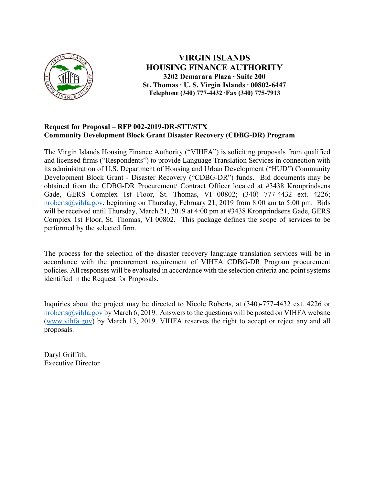

VIRGIN ISLANDS HOUSING FINANCE AUTHORITY 3202 Demarara Plaza ∙ Suite 200 St. Thomas ∙ U. S. Virgin Islands ∙ 00802-6447 Telephone (340) 777-4432 ∙Fax (340) 775-7913

## Request for Proposal – RFP 002-2019-DR-STT/STX Community Development Block Grant Disaster Recovery (CDBG-DR) Program

The Virgin Islands Housing Finance Authority ("VIHFA") is soliciting proposals from qualified and licensed firms ("Respondents") to provide Language Translation Services in connection with its administration of U.S. Department of Housing and Urban Development ("HUD") Community Development Block Grant - Disaster Recovery ("CDBG-DR") funds. Bid documents may be obtained from the CDBG-DR Procurement/ Contract Officer located at #3438 Kronprindsens Gade, GERS Complex 1st Floor, St. Thomas, VI 00802; (340) 777-4432 ext. 4226; nroberts@vihfa.gov, beginning on Thursday, February 21, 2019 from 8:00 am to 5:00 pm. Bids will be received until Thursday, March 21, 2019 at 4:00 pm at #3438 Kronprindsens Gade, GERS Complex 1st Floor, St. Thomas, VI 00802. This package defines the scope of services to be performed by the selected firm.

The process for the selection of the disaster recovery language translation services will be in accordance with the procurement requirement of VIHFA CDBG-DR Program procurement policies. All responses will be evaluated in accordance with the selection criteria and point systems identified in the Request for Proposals.

Inquiries about the project may be directed to Nicole Roberts, at (340)-777-4432 ext. 4226 or nroberts@vihfa.gov by March 6, 2019. Answers to the questions will be posted on VIHFA website (www.vihfa.gov) by March 13, 2019. VIHFA reserves the right to accept or reject any and all proposals.

Daryl Griffith, Executive Director